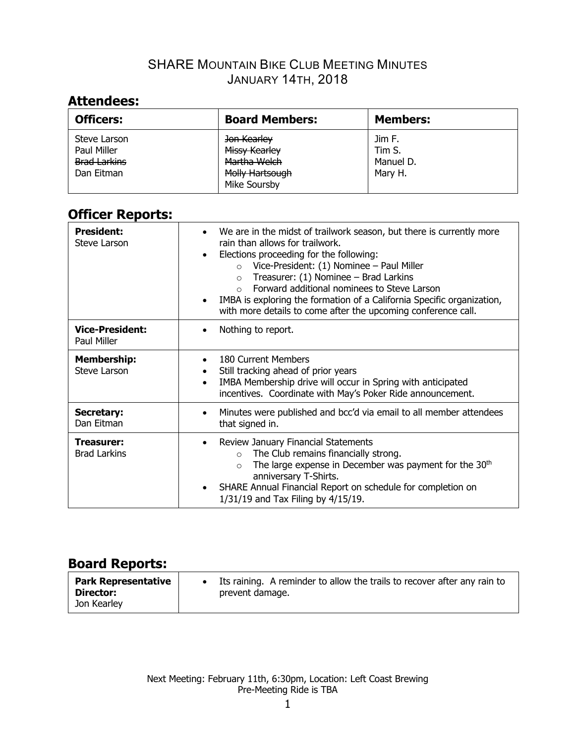# **Attendees:**

| <b>Officers:</b>                                                 | <b>Board Members:</b>                                                           | <b>Members:</b>                          |
|------------------------------------------------------------------|---------------------------------------------------------------------------------|------------------------------------------|
| Steve Larson<br>Paul Miller<br><b>Brad Larkins</b><br>Dan Eitman | Jon Kearley<br>Missy Kearley<br>Martha Welch<br>Molly Hartsough<br>Mike Soursby | Jim F.<br>Tim S.<br>Manuel D.<br>Mary H. |

# **Officer Reports:**

| <b>President:</b><br>Steve Larson        | We are in the midst of trailwork season, but there is currently more<br>rain than allows for trailwork.<br>Elections proceeding for the following:<br>$\bullet$<br>Vice-President: (1) Nominee - Paul Miller<br>$\Omega$<br>Treasurer: (1) Nominee - Brad Larkins<br>$\Omega$<br>Forward additional nominees to Steve Larson<br>IMBA is exploring the formation of a California Specific organization,<br>with more details to come after the upcoming conference call. |
|------------------------------------------|-------------------------------------------------------------------------------------------------------------------------------------------------------------------------------------------------------------------------------------------------------------------------------------------------------------------------------------------------------------------------------------------------------------------------------------------------------------------------|
| <b>Vice-President:</b><br>Paul Miller    | Nothing to report.                                                                                                                                                                                                                                                                                                                                                                                                                                                      |
| <b>Membership:</b><br>Steve Larson       | 180 Current Members<br>Still tracking ahead of prior years<br>IMBA Membership drive will occur in Spring with anticipated<br>$\bullet$<br>incentives. Coordinate with May's Poker Ride announcement.                                                                                                                                                                                                                                                                    |
| Secretary:<br>Dan Eitman                 | Minutes were published and bcc'd via email to all member attendees<br>$\bullet$<br>that signed in.                                                                                                                                                                                                                                                                                                                                                                      |
| <b>Treasurer:</b><br><b>Brad Larkins</b> | Review January Financial Statements<br>The Club remains financially strong.<br>$\Omega$<br>The large expense in December was payment for the 30 <sup>th</sup><br>$\Omega$<br>anniversary T-Shirts.<br>SHARE Annual Financial Report on schedule for completion on<br>$\bullet$<br>1/31/19 and Tax Filing by 4/15/19.                                                                                                                                                    |

| <b>Board Reports:</b>                                  |                                                                                             |
|--------------------------------------------------------|---------------------------------------------------------------------------------------------|
| <b>Park Representative</b><br>Director:<br>Jon Kearley | Its raining. A reminder to allow the trails to recover after any rain to<br>prevent damage. |

#### Next Meeting: February 11th, 6:30pm, Location: Left Coast Brewing Pre-Meeting Ride is TBA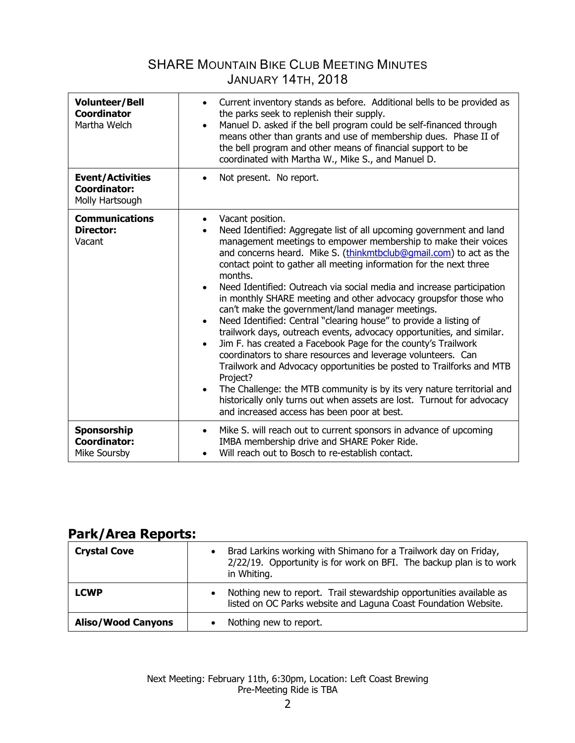| <b>Volunteer/Bell</b><br><b>Coordinator</b><br>Martha Welch       | Current inventory stands as before. Additional bells to be provided as<br>$\bullet$<br>the parks seek to replenish their supply.<br>Manuel D. asked if the bell program could be self-financed through<br>$\bullet$<br>means other than grants and use of membership dues. Phase II of<br>the bell program and other means of financial support to be<br>coordinated with Martha W., Mike S., and Manuel D.                                                                                                                                                                                                                                                                                                                                                                                                                                                                                                                                                                                                                                                                                                                                |
|-------------------------------------------------------------------|--------------------------------------------------------------------------------------------------------------------------------------------------------------------------------------------------------------------------------------------------------------------------------------------------------------------------------------------------------------------------------------------------------------------------------------------------------------------------------------------------------------------------------------------------------------------------------------------------------------------------------------------------------------------------------------------------------------------------------------------------------------------------------------------------------------------------------------------------------------------------------------------------------------------------------------------------------------------------------------------------------------------------------------------------------------------------------------------------------------------------------------------|
| <b>Event/Activities</b><br><b>Coordinator:</b><br>Molly Hartsough | Not present. No report.                                                                                                                                                                                                                                                                                                                                                                                                                                                                                                                                                                                                                                                                                                                                                                                                                                                                                                                                                                                                                                                                                                                    |
| <b>Communications</b><br><b>Director:</b><br>Vacant               | Vacant position.<br>Need Identified: Aggregate list of all upcoming government and land<br>management meetings to empower membership to make their voices<br>and concerns heard. Mike S. (thinkmtbclub@qmail.com) to act as the<br>contact point to gather all meeting information for the next three<br>months.<br>Need Identified: Outreach via social media and increase participation<br>$\bullet$<br>in monthly SHARE meeting and other advocacy groupsfor those who<br>can't make the government/land manager meetings.<br>Need Identified: Central "clearing house" to provide a listing of<br>$\bullet$<br>trailwork days, outreach events, advocacy opportunities, and similar.<br>Jim F. has created a Facebook Page for the county's Trailwork<br>$\bullet$<br>coordinators to share resources and leverage volunteers. Can<br>Trailwork and Advocacy opportunities be posted to Trailforks and MTB<br>Project?<br>The Challenge: the MTB community is by its very nature territorial and<br>$\bullet$<br>historically only turns out when assets are lost. Turnout for advocacy<br>and increased access has been poor at best. |
| Sponsorship<br><b>Coordinator:</b><br>Mike Soursby                | Mike S. will reach out to current sponsors in advance of upcoming<br>$\bullet$<br>IMBA membership drive and SHARE Poker Ride.<br>Will reach out to Bosch to re-establish contact.                                                                                                                                                                                                                                                                                                                                                                                                                                                                                                                                                                                                                                                                                                                                                                                                                                                                                                                                                          |

# **Park/Area Reports:**

| <b>Crystal Cove</b>       | Brad Larkins working with Shimano for a Trailwork day on Friday,<br>$\bullet$<br>2/22/19. Opportunity is for work on BFI. The backup plan is to work<br>in Whiting. |
|---------------------------|---------------------------------------------------------------------------------------------------------------------------------------------------------------------|
| <b>LCWP</b>               | Nothing new to report. Trail stewardship opportunities available as<br>$\bullet$<br>listed on OC Parks website and Laguna Coast Foundation Website.                 |
| <b>Aliso/Wood Canyons</b> | Nothing new to report.                                                                                                                                              |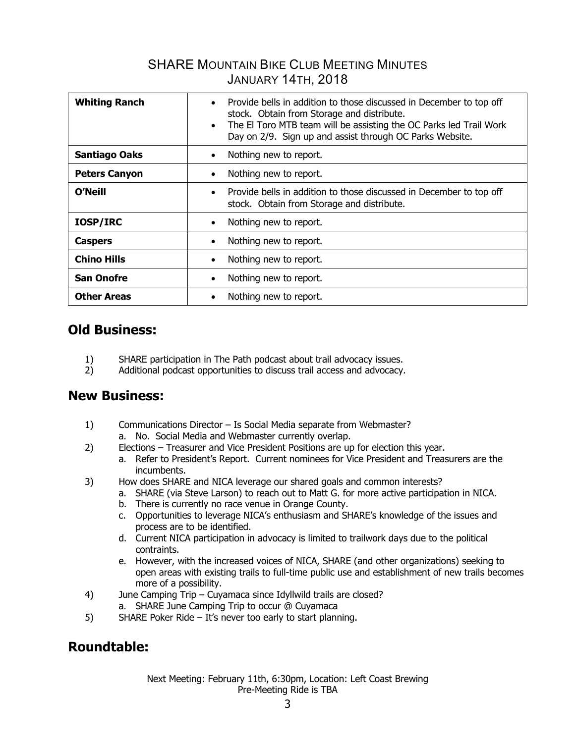| <b>Whiting Ranch</b> | Provide bells in addition to those discussed in December to top off<br>$\bullet$<br>stock. Obtain from Storage and distribute.<br>The El Toro MTB team will be assisting the OC Parks led Trail Work<br>$\bullet$<br>Day on 2/9. Sign up and assist through OC Parks Website. |
|----------------------|-------------------------------------------------------------------------------------------------------------------------------------------------------------------------------------------------------------------------------------------------------------------------------|
| <b>Santiago Oaks</b> | Nothing new to report.<br>$\bullet$                                                                                                                                                                                                                                           |
| <b>Peters Canyon</b> | Nothing new to report.                                                                                                                                                                                                                                                        |
| O'Neill              | Provide bells in addition to those discussed in December to top off<br>$\bullet$<br>stock. Obtain from Storage and distribute.                                                                                                                                                |
| <b>IOSP/IRC</b>      | Nothing new to report.<br>$\bullet$                                                                                                                                                                                                                                           |
| <b>Caspers</b>       | Nothing new to report.<br>$\bullet$                                                                                                                                                                                                                                           |
| <b>Chino Hills</b>   | Nothing new to report.                                                                                                                                                                                                                                                        |
| <b>San Onofre</b>    | Nothing new to report.                                                                                                                                                                                                                                                        |
| <b>Other Areas</b>   | Nothing new to report.                                                                                                                                                                                                                                                        |

# **Old Business:**

- 1) SHARE participation in The Path podcast about trail advocacy issues.
- 2) Additional podcast opportunities to discuss trail access and advocacy.

#### **New Business:**

- 1) Communications Director Is Social Media separate from Webmaster?
	- a. No. Social Media and Webmaster currently overlap.
- 2) Elections Treasurer and Vice President Positions are up for election this year.
	- a. Refer to President's Report. Current nominees for Vice President and Treasurers are the incumbents.
- 3) How does SHARE and NICA leverage our shared goals and common interests?
	- a. SHARE (via Steve Larson) to reach out to Matt G. for more active participation in NICA.
		- b. There is currently no race venue in Orange County.
		- c. Opportunities to leverage NICA's enthusiasm and SHARE's knowledge of the issues and process are to be identified.
		- d. Current NICA participation in advocacy is limited to trailwork days due to the political contraints.
		- e. However, with the increased voices of NICA, SHARE (and other organizations) seeking to open areas with existing trails to full-time public use and establishment of new trails becomes more of a possibility.
- 4) June Camping Trip Cuyamaca since Idyllwild trails are closed?
	- a. SHARE June Camping Trip to occur @ Cuyamaca
- 5) SHARE Poker Ride It's never too early to start planning.

# **Roundtable:**

Next Meeting: February 11th, 6:30pm, Location: Left Coast Brewing Pre-Meeting Ride is TBA